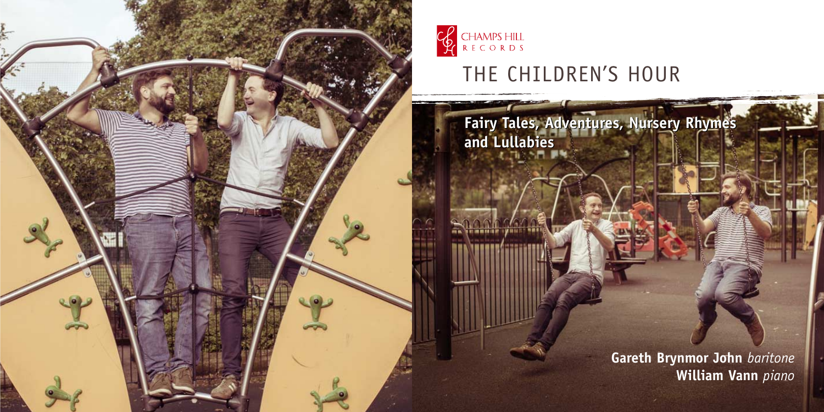



**INTERNATIONAL** 

# THE CHILDREN'S HOUR

**Fairy Tales, Adventures, Nursery Rhymes and Lullabies Fairy Tales, Adventures, Nursery Rhymes and Lullabies**

> **Gareth Brynmor John** *baritone* **William Vann** *piano*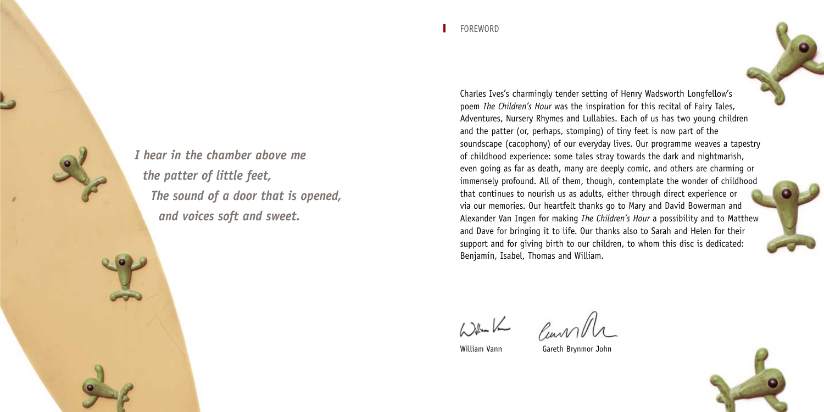# FOREWORD

Charles Ives's charmingly tender setting of Henry Wadsworth Longfellow's poem *The Children's Hour* was the inspiration for this recital of Fairy Tales, Adventures, Nursery Rhymes and Lullabies. Each of us has two young children and the patter (or, perhaps, stomping) of tiny feet is now part of the soundscape (cacophony) of our everyday lives. Our programme weaves a tapestry of childhood experience: some tales stray towards the dark and nightmarish, even going as far as death, many are deeply comic, and others are charming or immensely profound. All of them, though, contemplate the wonder of childhood that continues to nourish us as adults, either through direct experience or via our memories. Our heartfelt thanks go to Mary and David Bowerman and Alexander Van Ingen for making *The Children's Hour* a possibility and to Matthew and Dave for bringing it to life. Our thanks also to Sarah and Helen for their support and for giving birth to our children, to whom this disc is dedicated: Benjamin, Isabel, Thomas and William.

 $\lambda$ 

Punk

William Vann Gareth Brynmor John

*I hear in the chamber above me the patter of little feet, The sound of a door that is opened, and voices soft and sweet.*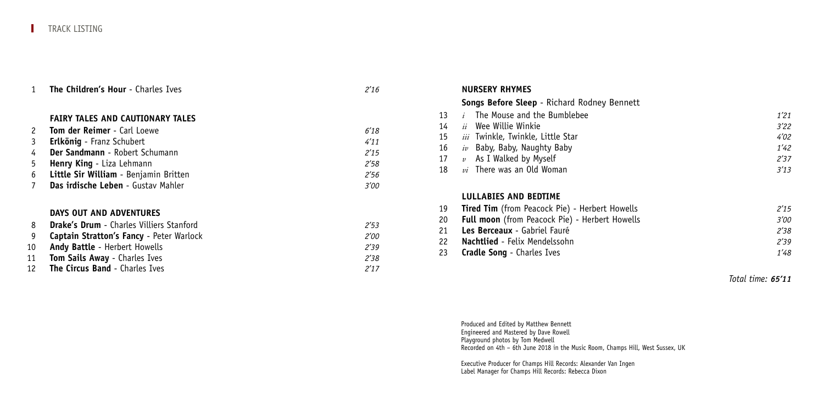# **The Children's Hour** - Charles Ives *2'16* **FAIRY TALES AND CAUTIONARY TALES Tom der Reimer** - Carl Loewe *6'18* **Erlkönig** - Franz Schubert *4'11* **Der Sandmann** - Robert Schumann *2'15* **Henry King** - Liza Lehmann *2'58* **Little Sir William** - Benjamin Britten *2'56* **Das irdische Leben** - Gustav Mahler *3'00*

#### **DAYS OUT AND ADVENTURES**

| 8 | <b>Drake's Drum</b> - Charles Villiers Stanford   | 2'53 |
|---|---------------------------------------------------|------|
|   | 9 <b>Captain Stratton's Fancy</b> - Peter Warlock | 2'00 |
|   | 10 <b>Andy Battle</b> - Herbert Howells           | 2'39 |
|   | 11 <b>Tom Sails Away</b> - Charles Ives           | 2′38 |
|   | 12 The Circus Band - Charles Ives                 | 2'17 |

# **NURSERY RHYMES**

|  | <b>Songs Before Sleep - Richard Rodney Bennett</b> |      |  |  |
|--|----------------------------------------------------|------|--|--|
|  | 13 <i>i</i> The Mouse and the Bumblebee            | 1'21 |  |  |
|  | 14 <i>ii</i> Wee Willie Winkie                     | 3'22 |  |  |
|  | 15 <i>iii</i> Twinkle, Twinkle, Little Star        | 4'02 |  |  |
|  | 16 <i>iv</i> Baby, Baby, Naughty Baby              | 1'42 |  |  |
|  | 17 $v$ As I Walked by Myself                       | 2'37 |  |  |
|  | 18 $vi$ There was an Old Woman                     | 3'13 |  |  |

# **LULLABIES AND BEDTIME**

| 19 | <b>Tired Tim</b> (from Peacock Pie) - Herbert Howells | 2'15 |
|----|-------------------------------------------------------|------|
| 20 | <b>Full moon</b> (from Peacock Pie) - Herbert Howells | 3'00 |
| 21 | Les Berceaux - Gabriel Fauré                          | 2'38 |
| 22 | <b>Nachtlied</b> - Felix Mendelssohn                  | 2'39 |
| 23 | <b>Cradle Song - Charles Ives</b>                     | 1'48 |

*Total time: 65'11*

Produced and Edited by Matthew Bennett Engineered and Mastered by Dave Rowell Playground photos by Tom Medwell Recorded on 4th – 6th June 2018 in the Music Room, Champs Hill, West Sussex, UK

Executive Producer for Champs Hill Records: Alexander Van Ingen Label Manager for Champs Hill Records: Rebecca Dixon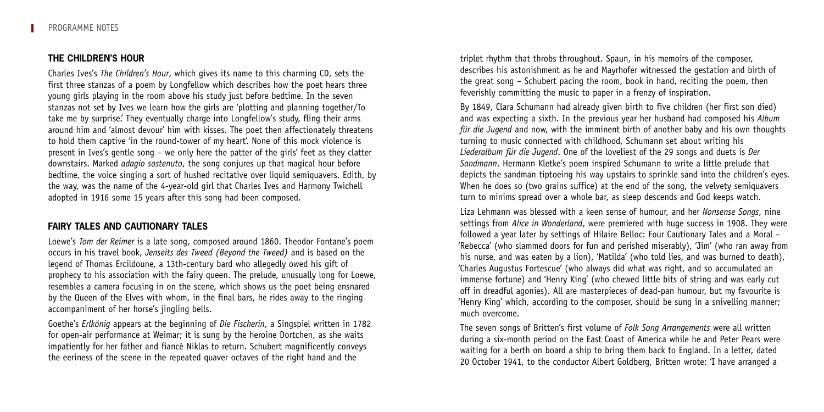# **THE CHILDREN'S HOUR**

Charles Ives's *The Children's Hour*, which gives its name to this charming CD, sets the first three stanzas of a poem by Longfellow which describes how the poet hears three young girls playing in the room above his study just before bedtime. In the seven stanzas not set by Ives we learn how the girls are 'plotting and planning together/To take me by surprise.' They eventually charge into Longfellow's study, fling their arms around him and 'almost devour' him with kisses. The poet then affectionately threatens to hold them captive 'in the round-tower of my heart'. None of this mock violence is present in Ives's gentle song – we only here the patter of the girls' feet as they clatter downstairs. Marked *adagio sostenuto*, the song conjures up that magical hour before bedtime, the voice singing a sort of hushed recitative over liquid semiquavers. Edith, by the way, was the name of the 4-year-old girl that Charles Ives and Harmony Twichell adopted in 1916 some 15 years after this song had been composed.

# **FAIRY TALES AND CAUTIONARY TALES**

Loewe's *Tom der Reimer* is a late song, composed around 1860. Theodor Fontane's poem occurs in his travel book, *Jenseits des Tweed (Beyond the Tweed)* and is based on the legend of Thomas Ercildoune, a 13th-century bard who allegedly owed his gift of prophecy to his association with the fairy queen. The prelude, unusually long for Loewe, resembles a camera focusing in on the scene, which shows us the poet being ensnared by the Queen of the Elves with whom, in the final bars, he rides away to the ringing accompaniment of her horse's jingling bells.

Goethe's *Erlkönig* appears at the beginning of *Die Fischerin*, a Singspiel written in 1782 for open-air performance at Weimar; it is sung by the heroine Dortchen, as she waits impatiently for her father and fiancé Niklas to return. Schubert magnificently conveys the eeriness of the scene in the repeated quaver octaves of the right hand and the

triplet rhythm that throbs throughout. Spaun, in his memoirs of the composer, describes his astonishment as he and Mayrhofer witnessed the gestation and birth of the great song – Schubert pacing the room, book in hand, reciting the poem, then feverishly committing the music to paper in a frenzy of inspiration.

By 1849, Clara Schumann had already given birth to five children (her first son died) and was expecting a sixth. In the previous year her husband had composed his *Album für die Jugend* and now, with the imminent birth of another baby and his own thoughts turning to music connected with childhood, Schumann set about writing his *Liederalbum für die Jugend*. One of the loveliest of the 29 songs and duets is *Der Sandmann*. Hermann Kletke's poem inspired Schumann to write a little prelude that depicts the sandman tiptoeing his way upstairs to sprinkle sand into the children's eyes. When he does so (two grains suffice) at the end of the song, the velvety semiguavers turn to minims spread over a whole bar, as sleep descends and God keeps watch.

Liza Lehmann was blessed with a keen sense of humour, and her *Nonsense Songs*, nine settings from *Alice in Wonderland*, were premiered with huge success in 1908. They were followed a year later by settings of Hilaire Belloc: Four Cautionary Tales and a Moral – 'Rebecca' (who slammed doors for fun and perished miserably), 'Jim' (who ran away from his nurse, and was eaten by a lion), 'Matilda' (who told lies, and was burned to death), 'Charles Augustus Fortescue' (who always did what was right, and so accumulated an immense fortune) and 'Henry King' (who chewed little bits of string and was early cut off in dreadful agonies). All are masterpieces of dead-pan humour, but my favourite is 'Henry King' which, according to the composer, should be sung in a snivelling manner; much overcome.

The seven songs of Britten's first volume of *Folk Song Arrangements* were all written during a six-month period on the East Coast of America while he and Peter Pears were waiting for a berth on board a ship to bring them back to England. In a letter, dated 20 October 1941, to the conductor Albert Goldberg, Britten wrote: 'I have arranged a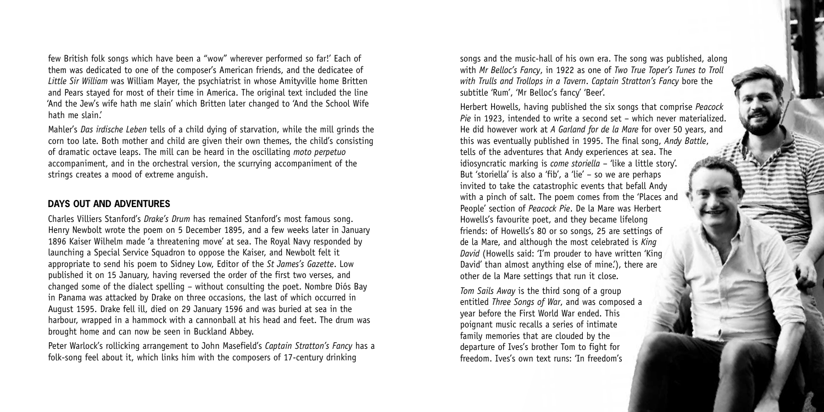few British folk songs which have been a "wow" wherever performed so far!' Each of them was dedicated to one of the composer's American friends, and the dedicatee of *Little Sir William* was William Mayer, the psychiatrist in whose Amityville home Britten and Pears stayed for most of their time in America. The original text included the line 'And the Jew's wife hath me slain' which Britten later changed to 'And the School Wife hath me slain.'

Mahler's *Das irdische Leben* tells of a child dying of starvation, while the mill grinds the corn too late. Both mother and child are given their own themes, the child's consisting of dramatic octave leaps. The mill can be heard in the oscillating *moto perpetuo* accompaniment, and in the orchestral version, the scurrying accompaniment of the strings creates a mood of extreme anguish.

# **DAYS OUT AND ADVENTURES**

Charles Villiers Stanford's *Drake's Drum* has remained Stanford's most famous song. Henry Newbolt wrote the poem on 5 December 1895, and a few weeks later in January 1896 Kaiser Wilhelm made 'a threatening move' at sea. The Royal Navy responded by launching a Special Service Squadron to oppose the Kaiser, and Newbolt felt it appropriate to send his poem to Sidney Low, Editor of the *St James's Gazette*. Low published it on 15 January, having reversed the order of the first two verses, and changed some of the dialect spelling – without consulting the poet. Nombre Diós Bay in Panama was attacked by Drake on three occasions, the last of which occurred in August 1595. Drake fell ill, died on 29 January 1596 and was buried at sea in the harbour, wrapped in a hammock with a cannonball at his head and feet. The drum was brought home and can now be seen in Buckland Abbey.

Peter Warlock's rollicking arrangement to John Masefield's *Captain Stratton's Fancy* has a folk-song feel about it, which links him with the composers of 17-century drinking

songs and the music-hall of his own era. The song was published, along with *Mr Belloc's Fancy*, in 1922 as one of *Two True Toper's Tunes to Troll with Trulls and Trollops in a Tavern*. *Captain Stratton's Fancy* bore the subtitle 'Rum', 'Mr Belloc's fancy' 'Beer'.

Herbert Howells, having published the six songs that comprise *Peacock Pie* in 1923, intended to write a second set – which never materialized. He did however work at *A Garland for de la Mare* for over 50 years, and this was eventually published in 1995. The final song, *Andy Battle*, tells of the adventures that Andy experiences at sea. The idiosyncratic marking is *come storiella* – 'like a little story'. But 'storiella' is also a 'fib', a 'lie' – so we are perhaps invited to take the catastrophic events that befall Andy with a pinch of salt. The poem comes from the 'Places and People' section of *Peacock Pie*. De la Mare was Herbert Howells's favourite poet, and they became lifelong friends: of Howells's 80 or so songs, 25 are settings of de la Mare, and although the most celebrated is *King David* (Howells said: 'I'm prouder to have written 'King David' than almost anything else of mine.'), there are other de la Mare settings that run it close.

*Tom Sails Away* is the third song of a group entitled *Three Songs of War*, and was composed a year before the First World War ended. This poignant music recalls a series of intimate family memories that are clouded by the departure of Ives's brother Tom to fight for freedom. Ives's own text runs: 'In freedom's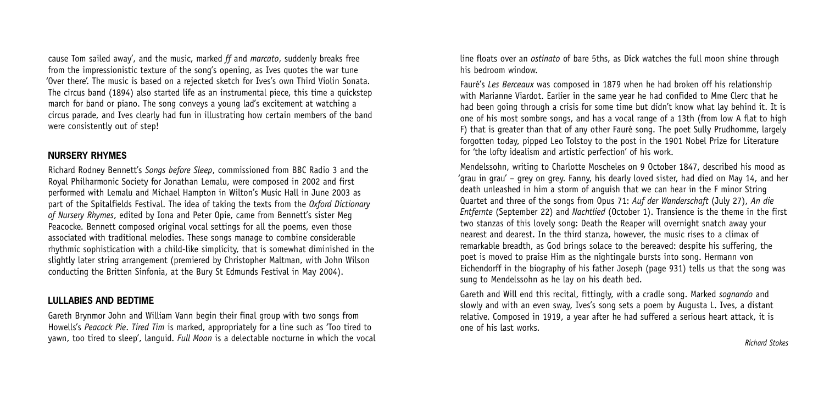cause Tom sailed away', and the music, marked *ff* and *marcato*, suddenly breaks free from the impressionistic texture of the song's opening, as Ives quotes the war tune 'Over there'. The music is based on a rejected sketch for Ives's own Third Violin Sonata. The circus band (1894) also started life as an instrumental piece, this time a quickstep march for band or piano. The song conveys a young lad's excitement at watching a circus parade, and Ives clearly had fun in illustrating how certain members of the band were consistently out of step!

# **NURSERY RHYMES**

Richard Rodney Bennett's *Songs before Sleep*, commissioned from BBC Radio 3 and the Royal Philharmonic Society for Jonathan Lemalu, were composed in 2002 and first performed with Lemalu and Michael Hampton in Wilton's Music Hall in June 2003 as part of the Spitalfields Festival. The idea of taking the texts from the *Oxford Dictionary of Nursery Rhymes*, edited by Iona and Peter Opie, came from Bennett's sister Meg Peacocke. Bennett composed original vocal settings for all the poems, even those associated with traditional melodies. These songs manage to combine considerable rhythmic sophistication with a child-like simplicity, that is somewhat diminished in the slightly later string arrangement (premiered by Christopher Maltman, with John Wilson conducting the Britten Sinfonia, at the Bury St Edmunds Festival in May 2004).

# **LULLABIES AND BEDTIME**

Gareth Brynmor John and William Vann begin their final group with two songs from Howells's *Peacock Pie*. *Tired Tim* is marked, appropriately for a line such as 'Too tired to yawn, too tired to sleep', languid. *Full Moon* is a delectable nocturne in which the vocal line floats over an *ostinato* of bare 5ths, as Dick watches the full moon shine through his bedroom window.

Fauré's *Les Berceaux* was composed in 1879 when he had broken off his relationship with Marianne Viardot. Earlier in the same year he had confided to Mme Clerc that he had been going through a crisis for some time but didn't know what lay behind it. It is one of his most sombre songs, and has a vocal range of a 13th (from low A flat to high F) that is greater than that of any other Fauré song. The poet Sully Prudhomme, largely forgotten today, pipped Leo Tolstoy to the post in the 1901 Nobel Prize for Literature for 'the lofty idealism and artistic perfection' of his work.

Mendelssohn, writing to Charlotte Moscheles on 9 October 1847, described his mood as 'grau in grau' – grey on grey. Fanny, his dearly loved sister, had died on May 14, and her death unleashed in him a storm of anguish that we can hear in the F minor String Quartet and three of the songs from Opus 71: *Auf der Wanderschaft* (July 27), *An die Entfernte* (September 22) and *Nachtlied* (October 1). Transience is the theme in the first two stanzas of this lovely song: Death the Reaper will overnight snatch away your nearest and dearest. In the third stanza, however, the music rises to a climax of remarkable breadth, as God brings solace to the bereaved: despite his suffering, the poet is moved to praise Him as the nightingale bursts into song. Hermann von Eichendorff in the biography of his father Joseph (page 931) tells us that the song was sung to Mendelssohn as he lay on his death bed.

Gareth and Will end this recital, fittingly, with a cradle song. Marked *sognando* and slowly and with an even sway, Ives's song sets a poem by Augusta L. Ives, a distant relative. Composed in 1919, a year after he had suffered a serious heart attack, it is one of his last works.

*Richard Stokes*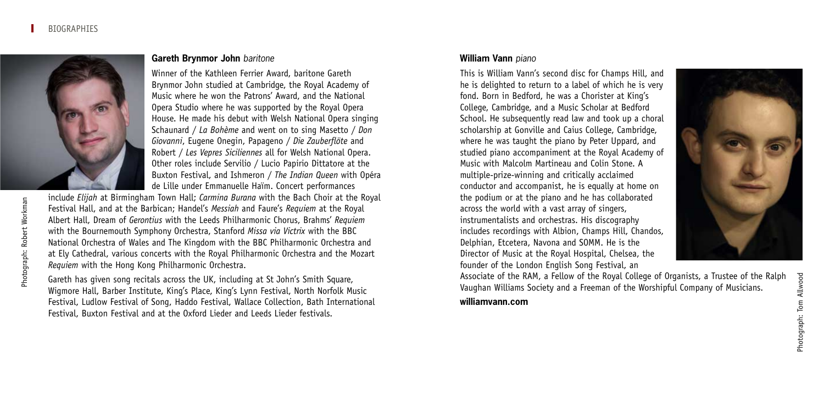

Photograph: Robert Workman

Photograph: Robert Workman

# **Gareth Brynmor John** baritone

Winner of the Kathleen Ferrier Award, baritone Gareth Brynmor John studied at Cambridge, the Royal Academy of Music where he won the Patrons' Award, and the National Opera Studio where he was supported by the Royal Opera House. He made his debut with Welsh National Opera singing Schaunard / *La Bohème* and went on to sing Masetto / *Don Giovanni*, Eugene Onegin, Papageno / *Die Zauberflöte* and Robert / *Les Vepres Siciliennes* all for Welsh National Opera. Other roles include Servilio / Lucio Papirio Dittatore at the Buxton Festival, and Ishmeron / *The Indian Queen* with Opéra de Lille under Emmanuelle Haïm. Concert performances

include *Elijah* at Birmingham Town Hall; *Carmina Burana* with the Bach Choir at the Royal Festival Hall, and at the Barbican; Handel's *Messiah* and Faure's *Requiem* at the Royal Albert Hall, Dream of *Gerontius* with the Leeds Philharmonic Chorus, Brahms' *Requiem* with the Bournemouth Symphony Orchestra, Stanford *Missa via Victrix* with the BBC National Orchestra of Wales and The Kingdom with the BBC Philharmonic Orchestra and at Ely Cathedral, various concerts with the Royal Philharmonic Orchestra and the Mozart *Requiem* with the Hong Kong Philharmonic Orchestra.

Gareth has given song recitals across the UK, including at St John's Smith Square, Wigmore Hall, Barber Institute, King's Place, King's Lynn Festival, North Norfolk Music Festival, Ludlow Festival of Song, Haddo Festival, Wallace Collection, Bath International Festival, Buxton Festival and at the Oxford Lieder and Leeds Lieder festivals.

# **William Vann** piano

This is William Vann's second disc for Champs Hill, and he is delighted to return to a label of which he is very fond. Born in Bedford, he was a Chorister at King's College, Cambridge, and a Music Scholar at Bedford School. He subsequently read law and took up a choral scholarship at Gonville and Caius College, Cambridge, where he was taught the piano by Peter Uppard, and studied piano accompaniment at the Royal Academy of Music with Malcolm Martineau and Colin Stone. A multiple-prize-winning and critically acclaimed conductor and accompanist, he is equally at home on the podium or at the piano and he has collaborated across the world with a vast array of singers, instrumentalists and orchestras. His discography includes recordings with Albion, Champs Hill, Chandos, Delphian, Etcetera, Navona and SOMM. He is the Director of Music at the Royal Hospital, Chelsea, the founder of the London English Song Festival, an

Associate of the RAM, a Fellow of the Royal College of Organists, a Trustee of the Ralph Vaughan Williams Society and a Freeman of the Worshipful Company of Musicians.

#### **williamvann.com**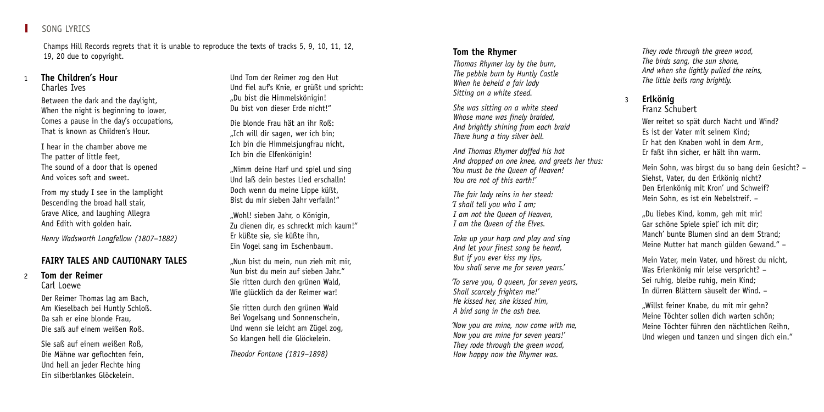#### SONG LYRICS

Champs Hill Records regrets that it is unable to reproduce the texts of tracks 5, 9, 10, 11, 12, 19, 20 due to copyright.

#### 1 **The Children's Hour**  Charles Ives

Between the dark and the daylight, When the night is beginning to lower. Comes a pause in the day's occupations, That is known as Children's Hour.

I hear in the chamber above me The patter of little feet, The sound of a door that is opened And voices soft and sweet.

From my study I see in the lamplight Descending the broad hall stair, Grave Alice, and laughing Allegra And Edith with golden hair.

*Henry Wadsworth Longfellow (1807–1882)*

# **FAIRY TALES AND CAUTIONARY TALES**

#### 2 **Tom der Reimer**  Carl Loewe

Der Reimer Thomas lag am Bach, Am Kieselbach bei Huntly Schloß. Da sah er eine blonde Frau, Die saß auf einem weißen Roß.

Sie saß auf einem weißen Roß, Die Mähne war geflochten fein, Und hell an jeder Flechte hing Ein silberblankes Glöckelein.

Und Tom der Reimer zog den Hut Und fiel auf's Knie, er grüßt und spricht: "Du bist die Himmelskönigin! Du bist von dieser Erde nicht!"

Die blonde Frau hät an ihr Roß: "Ich will dir sagen, wer ich bin; Ich bin die Himmelsjungfrau nicht, Ich bin die Elfenkönigin!

.Nimm deine Harf und spiel und sing Und laß dein bestes Lied erschalln! Doch wenn du meine Lippe küßt, Bist du mir sieben Jahr verfalln!"

"Wohl! sieben Jahr, o Königin, Zu dienen dir, es schreckt mich kaum!" Er küßte sie, sie küßte ihn Ein Vogel sang im Eschenbaum.

"Nun bist du mein, nun zieh mit mir, Nun bist du mein auf sieben Jahr." Sie ritten durch den grünen Wald, Wie glücklich da der Reimer war!

Sie ritten durch den grünen Wald Bei Vogelsang und Sonnenschein, Und wenn sie leicht am Zügel zog, So klangen hell die Glöckelein.

*Theodor Fontane (1819–1898)*

#### **Tom the Rhymer**

*Thomas Rhymer lay by the burn, The pebble burn by Huntly Castle When he beheld a fair lady Sitting on a white steed.*

*She was sitting on a white steed Whose mane was finely braided, And brightly shining from each braid There hung a tiny silver bell.*

*And Thomas Rhymer doffed his hat And dropped on one knee, and greets her thus: 'You must be the Queen of Heaven! You are not of this earth!'*

*The fair lady reins in her steed: 'I shall tell you who I am; I am not the Queen of Heaven, I am the Queen of the Elves.*

*Take up your harp and play and sing And let your finest song be heard, But if you ever kiss my lips, You shall serve me for seven years.'*

*'To serve you, O queen, for seven years, Shall scarcely frighten me!' He kissed her, she kissed him, A bird sang in the ash tree.*

*'Now you are mine, now come with me, Now you are mine for seven years!' They rode through the green wood, How happy now the Rhymer was.*

*They rode through the green wood, The birds sang, the sun shone, And when she lightly pulled the reins, The little bells rang brightly.*

#### 3 **Erlkönig**  Franz Schubert

Wer reitet so spät durch Nacht und Wind? Es ist der Vater mit seinem Kind; Er hat den Knaben wohl in dem Arm, Er faßt ihn sicher, er hält ihn warm.

Mein Sohn, was birgst du so bang dein Gesicht? – Siehst, Vater, du den Erlkönig nicht? Den Erlenkönig mit Kron' und Schweif? Mein Sohn, es ist ein Nebelstreif. –

"Du liebes Kind, komm, geh mit mir! Gar schöne Spiele spiel' ich mit dir; Manch' bunte Blumen sind an dem Strand; Meine Mutter hat manch gülden Gewand." –

Mein Vater, mein Vater, und hörest du nicht, Was Erlenkönig mir leise verspricht? – Sei ruhig, bleibe ruhig, mein Kind; In dürren Blättern säuselt der Wind. –

"Willst feiner Knabe, du mit mir gehn? Meine Töchter sollen dich warten schön; Meine Töchter führen den nächtlichen Reihn, Und wiegen und tanzen und singen dich ein."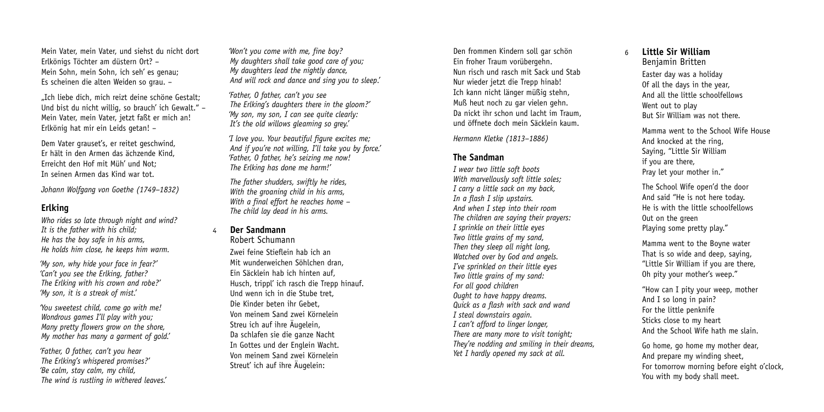Mein Vater, mein Vater, und siehst du nicht dort Erlkönigs Töchter am düstern Ort? – Mein Sohn, mein Sohn, ich seh' es genau; Es scheinen die alten Weiden so grau. –

"Ich liebe dich, mich reizt deine schöne Gestalt; Und bist du nicht willig, so brauch' ich Gewalt." – Mein Vater, mein Vater, jetzt faßt er mich an! Erlkönig hat mir ein Leids getan! –

Dem Vater grauset's, er reitet geschwind, Er hält in den Armen das ächzende Kind, Erreicht den Hof mit Müh' und Not; In seinen Armen das Kind war tot.

*Johann Wolfgang von Goethe (1749–1832)*

#### **Erlking**

*Who rides so late through night and wind? It is the father with his child; He has the boy safe in his arms, He holds him close, he keeps him warm.*

*'My son, why hide your face in fear?' 'Can't you see the Erlking, father? The Erlking with his crown and robe?' 'My son, it is a streak of mist.'*

*'You sweetest child, come go with me! Wondrous games I'll play with you; Many pretty flowers grow on the shore, My mother has many a garment of gold.'*

*'Father, O father, can't you hear The Erlking's whispered promises?' 'Be calm, stay calm, my child, The wind is rustling in withered leaves.'* *'Won't you come with me, fine boy? My daughters shall take good care of you; My daughters lead the nightly dance, And will rock and dance and sing you to sleep.'*

*'Father, O father, can't you see The Erlking's daughters there in the gloom?' 'My son, my son, I can see quite clearly: It's the old willows gleaming so grey.'*

*'I love you. Your beautiful figure excites me; And if you're not willing, I'll take you by force.' 'Father, O father, he's seizing me now! The Erlking has done me harm!'*

*The father shudders, swiftly he rides, With the groaning child in his arms, With a final effort he reaches home – The child lay dead in his arms.*

# 4 **Der Sandmann**

Robert Schumann

Zwei feine Stieflein hab ich an Mit wunderweichen Söhlchen dran, Ein Säcklein hab ich hinten auf, Husch, trippl' ich rasch die Trepp hinauf. Und wenn ich in die Stube tret, Die Kinder beten ihr Gebet, Von meinem Sand zwei Körnelein Streu ich auf ihre Äugelein, Da schlafen sie die ganze Nacht In Gottes und der Englein Wacht. Von meinem Sand zwei Körnelein Streut' ich auf ihre Äugelein:

Den frommen Kindern soll gar schön Ein froher Traum vorübergehn. Nun risch und rasch mit Sack und Stab Nur wieder jetzt die Trepp hinab! Ich kann nicht länger müßig stehn, Muß heut noch zu gar vielen gehn. Da nickt ihr schon und lacht im Traum, und öffnete doch mein Säcklein kaum.

*Hermann Kletke (1813–1886)*

# **The Sandman**

*I wear two little soft boots With marvellously soft little soles; I carry a little sack on my back, In a flash I slip upstairs. And when I step into their room The children are saying their prayers: I sprinkle on their little eyes Two little grains of my sand, Then they sleep all night long, Watched over by God and angels. I've sprinkled on their little eyes Two little grains of my sand: For all good children Ought to have happy dreams. Quick as a flash with sack and wand I steal downstairs again. I can't afford to linger longer, There are many more to visit tonight; They're nodding and smiling in their dreams, Yet I hardly opened my sack at all.*

#### 6 **Little Sir William**  Benjamin Britten

Easter day was a holiday Of all the days in the year, And all the little schoolfellows Went out to play But Sir William was not there.

Mamma went to the School Wife House And knocked at the ring, Saying, "Little Sir William if you are there, Pray let your mother in."

The School Wife open'd the door And said "He is not here today. He is with the little schoolfellows Out on the green Playing some pretty play."

Mamma went to the Boyne water That is so wide and deep, saying, "Little Sir William if you are there, Oh pity your mother's weep."

"How can I pity your weep, mother And I so long in pain? For the little penknife Sticks close to my heart And the School Wife hath me slain.

Go home, go home my mother dear, And prepare my winding sheet, For tomorrow morning before eight o'clock, You with my body shall meet.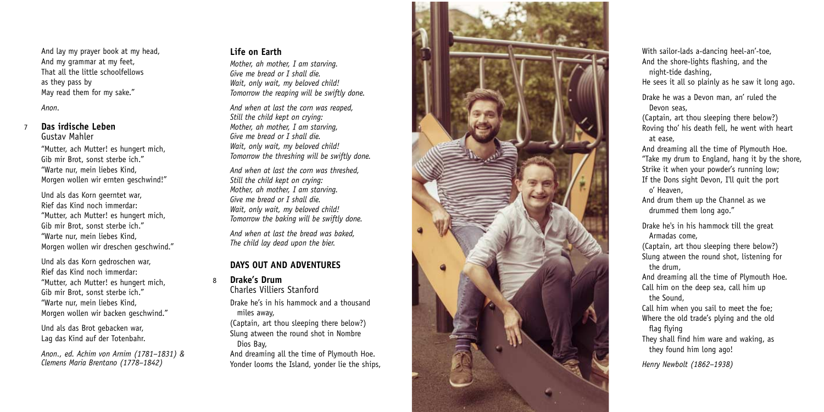And lay my prayer book at my head, And my grammar at my feet, That all the little schoolfellows as they pass by May read them for my sake."

*Anon.*

#### 7 **Das irdische Leben**  Gustav Mahler

"Mutter, ach Mutter! es hungert mich, Gib mir Brot, sonst sterbe ich." "Warte nur, mein liebes Kind, Morgen wollen wir ernten geschwind!"

Und als das Korn geerntet war, Rief das Kind noch immerdar: "Mutter, ach Mutter! es hungert mich, Gib mir Brot, sonst sterbe ich." "Warte nur, mein liebes Kind, Morgen wollen wir dreschen geschwind."

Und als das Korn gedroschen war, Rief das Kind noch immerdar: "Mutter, ach Mutter! es hungert mich, Gib mir Brot, sonst sterbe ich." "Warte nur, mein liebes Kind, Morgen wollen wir backen geschwind."

Und als das Brot gebacken war, Lag das Kind auf der Totenbahr.

*Anon., ed. Achim von Arnim (1781 –1831) & Clemens Maria Brentano (1778 –1842)*

# **Life on Earth**

*Mother, ah mother, I am starving. Give me bread or I shall die. Wait, only wait, my beloved child! Tomorrow the reaping will be swiftly done.* 

*And when at last the corn was reaped, Still the child kept on crying: Mother, ah mother, I am starving, Give me bread or I shall die. Wait, only wait, my beloved child! Tomorrow the threshing will be swiftly done.* 

*And when at last the corn was threshed, Still the child kept on crying: Mother, ah mother, I am starving. Give me bread or I shall die. Wait, only wait, my beloved child! Tomorrow the baking will be swiftly done.*

*And when at last the bread was baked, The child lay dead upon the bier.*

# **DAYS OUT AND ADVENTURES**

#### 8 **Drake's Drum**

Charles Villiers Stanford Drake he's in his hammock and a thousand

miles away,

(Captain, art thou sleeping there below?) Slung atween the round shot in Nombre Dios Bay,

And dreaming all the time of Plymouth Hoe. Yonder looms the Island, yonder lie the ships,



With sailor-lads a-dancing heel-an'-toe, And the shore-lights flashing, and the night-tide dashing, He sees it all so plainly as he saw it long ago. Drake he was a Devon man, an' ruled the Devon seas, (Captain, art thou sleeping there below?) Roving tho' his death fell, he went with heart at ease, And dreaming all the time of Plymouth Hoe. "Take my drum to England, hang it by the shore, Strike it when your powder's running low; If the Dons sight Devon, I'll quit the port o' Heaven, And drum them up the Channel as we drummed them long ago." Drake he's in his hammock till the great Armadas come, (Captain, art thou sleeping there below?)

Slung atween the round shot, listening for the drum, And dreaming all the time of Plymouth Hoe.

Call him on the deep sea, call him up the Sound,

Call him when you sail to meet the foe; Where the old trade's plying and the old flag flying

They shall find him ware and waking, as they found him long ago!

*Henry Newbolt (1862 –1938)*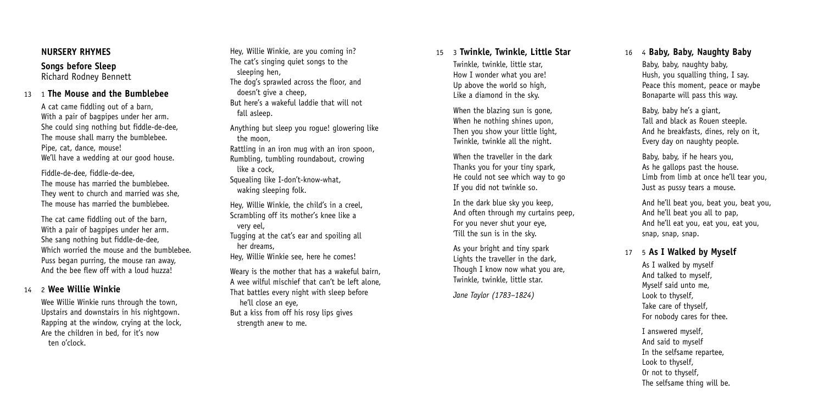# **NURSERY RHYMES**

**Songs before Sleep**  Richard Rodney Bennett

#### 13 1 **The Mouse and the Bumblebee**

A cat came fiddling out of a barn, With a pair of bagpipes under her arm. She could sing nothing but fiddle-de-dee, The mouse shall marry the bumblebee. Pipe, cat, dance, mouse! We'll have a wedding at our good house.

Fiddle-de-dee, fiddle-de-dee, The mouse has married the bumblebee. They went to church and married was she, The mouse has married the bumblebee.

The cat came fiddling out of the barn, With a pair of bagpipes under her arm. She sang nothing but fiddle-de-dee, Which worried the mouse and the bumblebee. Puss began purring, the mouse ran away, And the bee flew off with a loud huzza!

#### $14<sub>1</sub>$ 2 **Wee Willie Winkie**

Wee Willie Winkie runs through the town, Upstairs and downstairs in his nightgown. Rapping at the window, crying at the lock, Are the children in bed, for it's now ten o'clock.

Hey, Willie Winkie, are you coming in? The cat's singing quiet songs to the sleeping hen, The dog's sprawled across the floor, and doesn't give a cheep, But here's a wakeful laddie that will not fall asleep. Anything but sleep you rogue! glowering like the moon, Rattling in an iron mug with an iron spoon, Rumbling, tumbling roundabout, crowing like a cock, Squealing like I-don't-know-what, waking sleeping folk. Hey, Willie Winkie, the child's in a creel, Scrambling off its mother's knee like a very eel, Tugging at the cat's ear and spoiling all her dreams, Hey, Willie Winkie see, here he comes! Weary is the mother that has a wakeful bairn, A wee wilful mischief that can't be left alone, That battles every night with sleep before he'll close an eye,

But a kiss from off his rosy lips gives strength anew to me.

#### 15 3 **Twinkle, Twinkle, Little Star** Twinkle, twinkle, little star, How I wonder what you are!

Up above the world so high, Like a diamond in the sky.

When the blazing sun is gone. When he nothing shines upon, Then you show your little light, Twinkle, twinkle all the night.

When the traveller in the dark Thanks you for your tiny spark, He could not see which way to go If you did not twinkle so.

In the dark blue sky you keep, And often through my curtains peep, For you never shut your eye, 'Till the sun is in the sky.

As your bright and tiny spark Lights the traveller in the dark, Though I know now what you are, Twinkle, twinkle, little star.

*Jane Taylor (1783 –1824)* 

#### 16 4 **Baby, Baby, Naughty Baby** Baby, baby, naughty baby, Hush, you squalling thing, I say. Peace this moment, peace or maybe Bonaparte will pass this way.

Baby, baby he's a giant, Tall and black as Rouen steeple. And he breakfasts, dines, rely on it, Every day on naughty people.

Baby, baby, if he hears you, As he gallops past the house. Limb from limb at once he'll tear you, Just as pussy tears a mouse.

And he'll beat you, beat you, beat you, And he'll beat you all to pap, And he'll eat you, eat you, eat you, snap, snap, snap.

# 17 5 **As I Walked by Myself**

As I walked by myself And talked to myself, Myself said unto me, Look to thyself, Take care of thyself, For nobody cares for thee.

I answered myself, And said to myself In the selfsame repartee, Look to thyself, Or not to thyself, The selfsame thing will be.